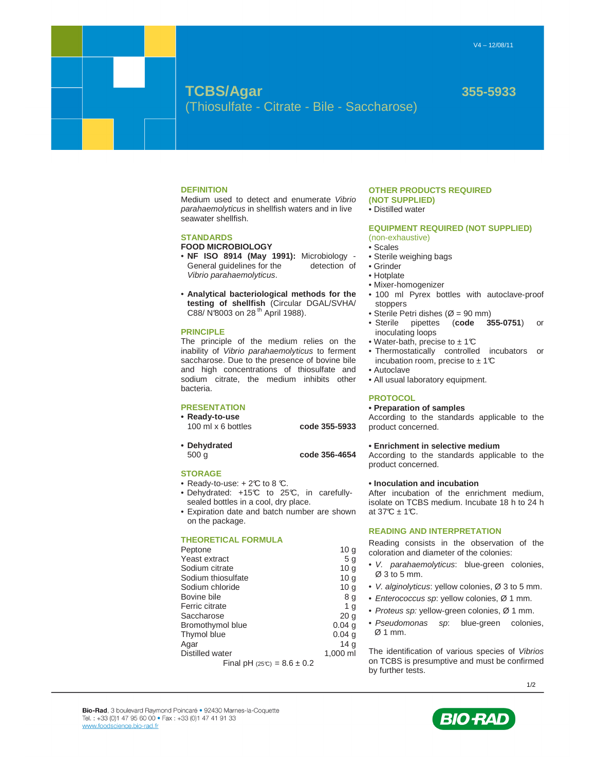# **TCBS/Agar 355-5933** (Thiosulfate - Citrate - Bile - Saccharose)

#### **DEFINITION**

Medium used to detect and enumerate Vibrio parahaemolyticus in shellfish waters and in live seawater shellfish.

#### **STANDARDS**

# **FOOD MICROBIOLOGY**

- **NF ISO 8914 (May 1991):** Microbiology General guidelines for the detection of Vibrio parahaemolyticus.
- **Analytical bacteriological methods for the testing of shellfish** (Circular DGAL/SVHA/ C88/ N°8003 on 28 th April 1988).

### **PRINCIPLE**

The principle of the medium relies on the inability of Vibrio parahaemolyticus to ferment saccharose. Due to the presence of bovine bile and high concentrations of thiosulfate and sodium citrate, the medium inhibits other bacteria.

#### **PRESENTATION**

**• Ready-to-use** 

100 ml x 6 bottles **code 355-5933** 

- 
- **Dehydrated**

500 g **code 356-4654** 

#### **STORAGE**

- Ready-to-use:  $+2\mathbb{C}$  to 8  $\mathbb{C}$ .
- Dehydrated: +15°C to 25°C, in carefullysealed bottles in a cool, dry place.
- Expiration date and batch number are shown on the package.

### **THEORETICAL FORMULA**

Peptone 10 g Yeast extract 5 g<br>
Sodium citrate 10 g Sodium citrate 10 g<br>
Sodium thiosulfate 10 g Sodium thiosulfate Sodium chloride 10 g Bovine bile 8 g Ferric citrate 1 g Saccharose 20 g<br>Bromothymol blue 20.04 g Bromothymol blue Thymol blue 0.04 g Agar 14 g Distilled water 1,000 ml

Final pH  $(25C) = 8.6 \pm 0.2$ 

#### **OTHER PRODUCTS REQUIRED (NOT SUPPLIED)**

• Distilled water

#### **EQUIPMENT REQUIRED (NOT SUPPLIED)**

- (non-exhaustive)
- Scales
- Sterile weighing bags
- Grinder
- Hotplate
- Mixer-homogenizer
- 100 ml Pyrex bottles with autoclave-proof stoppers
- Sterile Petri dishes ( $\varnothing$  = 90 mm)
- Sterile pipettes (**code 355-0751**) or inoculating loops
- Water-bath, precise to  $\pm$  1°C
- Thermostatically controlled incubators or incubation room, precise to  $\pm$  1°C
- Autoclave
- All usual laboratory equipment.

#### **PROTOCOL**

#### **• Preparation of samples**

According to the standards applicable to the product concerned.

#### **• Enrichment in selective medium**

According to the standards applicable to the product concerned.

#### **• Inoculation and incubation**

After incubation of the enrichment medium, isolate on TCBS medium. Incubate 18 h to 24 h at  $37^{\circ}\text{C} \pm 1^{\circ}\text{C}$ .

#### **READING AND INTERPRETATION**

Reading consists in the observation of the coloration and diameter of the colonies:

- V. parahaemolyticus: blue-green colonies, Ø 3 to 5 mm.
- V. alginolyticus: yellow colonies, Ø 3 to 5 mm.
- Enterococcus sp: yellow colonies, Ø 1 mm.
- Proteus sp: yellow-green colonies, Ø 1 mm.
- Pseudomonas sp: blue-green colonies, Ø 1 mm.

The identification of various species of Vibrios on TCBS is presumptive and must be confirmed by further tests.